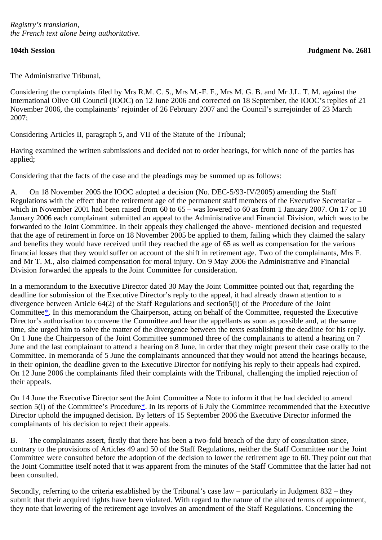The Administrative Tribunal,

Considering the complaints filed by Mrs R.M. C. S., Mrs M.-F. F., Mrs M. G. B. and Mr J.L. T. M. against the International Olive Oil Council (IOOC) on 12 June 2006 and corrected on 18 September, the IOOC's replies of 21 November 2006, the complainants' rejoinder of 26 February 2007 and the Council's surrejoinder of 23 March 2007;

Considering Articles II, paragraph 5, and VII of the Statute of the Tribunal;

Having examined the written submissions and decided not to order hearings, for which none of the parties has applied;

Considering that the facts of the case and the pleadings may be summed up as follows:

A. On 18 November 2005 the IOOC adopted a decision (No. DEC-5/93-IV/2005) amending the Staff Regulations with the effect that the retirement age of the permanent staff members of the Executive Secretariat – which in November 2001 had been raised from 60 to 65 – was lowered to 60 as from 1 January 2007. On 17 or 18 January 2006 each complainant submitted an appeal to the Administrative and Financial Division, which was to be forwarded to the Joint Committee. In their appeals they challenged the above- mentioned decision and requested that the age of retirement in force on 18 November 2005 be applied to them, failing which they claimed the salary and benefits they would have received until they reached the age of 65 as well as compensation for the various financial losses that they would suffer on account of the shift in retirement age. Two of the complainants, Mrs F. and Mr T. M., also claimed compensation for moral injury. On 9 May 2006 the Administrative and Financial Division forwarded the appeals to the Joint Committee for consideration.

<span id="page-0-0"></span>In a memorandum to the Executive Director dated 30 May the Joint Committee pointed out that, regarding the deadline for submission of the Executive Director's reply to the appeal, it had already drawn attention to a divergence between Article 64(2) of the Staff Regulations and section5(i) of the Procedure of the Joint Committee[\\*](#page-3-0). In this memorandum the Chairperson, acting on behalf of the Committee, requested the Executive Director's authorisation to convene the Committee and hear the appellants as soon as possible and, at the same time, she urged him to solve the matter of the divergence between the texts establishing the deadline for his reply. On 1 June the Chairperson of the Joint Committee summoned three of the complainants to attend a hearing on 7 June and the last complainant to attend a hearing on 8 June, in order that they might present their case orally to the Committee. In memoranda of 5 June the complainants announced that they would not attend the hearings because, in their opinion, the deadline given to the Executive Director for notifying his reply to their appeals had expired. On 12 June 2006 the complainants filed their complaints with the Tribunal, challenging the implied rejection of their appeals.

<span id="page-0-1"></span>On 14 June the Executive Director sent the Joint Committee a Note to inform it that he had decided to amend section 5(i) of the Committee's Procedure[\\*](#page-4-0). In its reports of 6 July the Committee recommended that the Executive Director uphold the impugned decision. By letters of 15 September 2006 the Executive Director informed the complainants of his decision to reject their appeals.

B. The complainants assert, firstly that there has been a two-fold breach of the duty of consultation since, contrary to the provisions of Articles 49 and 50 of the Staff Regulations, neither the Staff Committee nor the Joint Committee were consulted before the adoption of the decision to lower the retirement age to 60. They point out that the Joint Committee itself noted that it was apparent from the minutes of the Staff Committee that the latter had not been consulted.

Secondly, referring to the criteria established by the Tribunal's case law – particularly in Judgment 832 – they submit that their acquired rights have been violated. With regard to the nature of the altered terms of appointment, they note that lowering of the retirement age involves an amendment of the Staff Regulations. Concerning the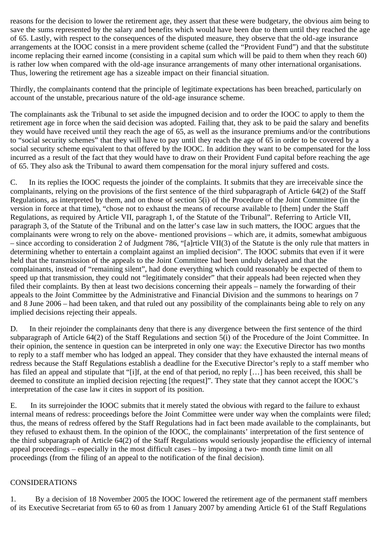reasons for the decision to lower the retirement age, they assert that these were budgetary, the obvious aim being to save the sums represented by the salary and benefits which would have been due to them until they reached the age of 65. Lastly, with respect to the consequences of the disputed measure, they observe that the old-age insurance arrangements at the IOOC consist in a mere provident scheme (called the "Provident Fund") and that the substitute income replacing their earned income (consisting in a capital sum which will be paid to them when they reach 60) is rather low when compared with the old-age insurance arrangements of many other international organisations. Thus, lowering the retirement age has a sizeable impact on their financial situation.

Thirdly, the complainants contend that the principle of legitimate expectations has been breached, particularly on account of the unstable, precarious nature of the old-age insurance scheme.

The complainants ask the Tribunal to set aside the impugned decision and to order the IOOC to apply to them the retirement age in force when the said decision was adopted. Failing that, they ask to be paid the salary and benefits they would have received until they reach the age of 65, as well as the insurance premiums and/or the contributions to "social security schemes" that they will have to pay until they reach the age of 65 in order to be covered by a social security scheme equivalent to that offered by the IOOC. In addition they want to be compensated for the loss incurred as a result of the fact that they would have to draw on their Provident Fund capital before reaching the age of 65. They also ask the Tribunal to award them compensation for the moral injury suffered and costs.

C. In its replies the IOOC requests the joinder of the complaints. It submits that they are irreceivable since the complainants, relying on the provisions of the first sentence of the third subparagraph of Article 64(2) of the Staff Regulations, as interpreted by them, and on those of section 5(i) of the Procedure of the Joint Committee (in the version in force at that time), "chose not to exhaust the means of recourse available to [them] under the Staff Regulations, as required by Article VII, paragraph 1, of the Statute of the Tribunal". Referring to Article VII, paragraph 3, of the Statute of the Tribunal and on the latter's case law in such matters, the IOOC argues that the complainants were wrong to rely on the above- mentioned provisions – which are, it admits, somewhat ambiguous – since according to consideration 2 of Judgment 786, "[a]rticle VII(3) of the Statute is the only rule that matters in determining whether to entertain a complaint against an implied decision". The IOOC submits that even if it were held that the transmission of the appeals to the Joint Committee had been unduly delayed and that the complainants, instead of "remaining silent", had done everything which could reasonably be expected of them to speed up that transmission, they could not "legitimately consider" that their appeals had been rejected when they filed their complaints. By then at least two decisions concerning their appeals – namely the forwarding of their appeals to the Joint Committee by the Administrative and Financial Division and the summons to hearings on 7 and 8 June 2006 – had been taken, and that ruled out any possibility of the complainants being able to rely on any implied decisions rejecting their appeals.

D. In their rejoinder the complainants deny that there is any divergence between the first sentence of the third subparagraph of Article 64(2) of the Staff Regulations and section 5(i) of the Procedure of the Joint Committee. In their opinion, the sentence in question can be interpreted in only one way: the Executive Director has two months to reply to a staff member who has lodged an appeal. They consider that they have exhausted the internal means of redress because the Staff Regulations establish a deadline for the Executive Director's reply to a staff member who has filed an appeal and stipulate that "[i]f, at the end of that period, no reply [...] has been received, this shall be deemed to constitute an implied decision rejecting [the request]". They state that they cannot accept the IOOC's interpretation of the case law it cites in support of its position.

E. In its surrejoinder the IOOC submits that it merely stated the obvious with regard to the failure to exhaust internal means of redress: proceedings before the Joint Committee were under way when the complaints were filed; thus, the means of redress offered by the Staff Regulations had in fact been made available to the complainants, but they refused to exhaust them. In the opinion of the IOOC, the complainants' interpretation of the first sentence of the third subparagraph of Article 64(2) of the Staff Regulations would seriously jeopardise the efficiency of internal appeal proceedings – especially in the most difficult cases – by imposing a two- month time limit on all proceedings (from the filing of an appeal to the notification of the final decision).

## CONSIDERATIONS

1. By a decision of 18 November 2005 the IOOC lowered the retirement age of the permanent staff members of its Executive Secretariat from 65 to 60 as from 1 January 2007 by amending Article 61 of the Staff Regulations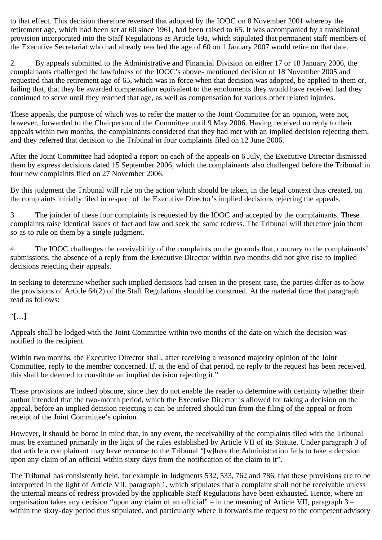to that effect. This decision therefore reversed that adopted by the IOOC on 8 November 2001 whereby the retirement age, which had been set at 60 since 1961, had been raised to 65. It was accompanied by a transitional provision incorporated into the Staff Regulations as Article 69a, which stipulated that permanent staff members of the Executive Secretariat who had already reached the age of 60 on 1 January 2007 would retire on that date.

2. By appeals submitted to the Administrative and Financial Division on either 17 or 18 January 2006, the complainants challenged the lawfulness of the IOOC's above- mentioned decision of 18 November 2005 and requested that the retirement age of 65, which was in force when that decision was adopted, be applied to them or, failing that, that they be awarded compensation equivalent to the emoluments they would have received had they continued to serve until they reached that age, as well as compensation for various other related injuries.

These appeals, the purpose of which was to refer the matter to the Joint Committee for an opinion, were not, however, forwarded to the Chairperson of the Committee until 9 May 2006. Having received no reply to their appeals within two months, the complainants considered that they had met with an implied decision rejecting them, and they referred that decision to the Tribunal in four complaints filed on 12 June 2006.

After the Joint Committee had adopted a report on each of the appeals on 6 July, the Executive Director dismissed them by express decisions dated 15 September 2006, which the complainants also challenged before the Tribunal in four new complaints filed on 27 November 2006.

By this judgment the Tribunal will rule on the action which should be taken, in the legal context thus created, on the complaints initially filed in respect of the Executive Director's implied decisions rejecting the appeals.

3. The joinder of these four complaints is requested by the IOOC and accepted by the complainants. These complaints raise identical issues of fact and law and seek the same redress. The Tribunal will therefore join them so as to rule on them by a single judgment.

4. The IOOC challenges the receivability of the complaints on the grounds that, contrary to the complainants' submissions, the absence of a reply from the Executive Director within two months did not give rise to implied decisions rejecting their appeals.

In seeking to determine whether such implied decisions had arisen in the present case, the parties differ as to how the provisions of Article 64(2) of the Staff Regulations should be construed. At the material time that paragraph read as follows:

## $T$ […]

Appeals shall be lodged with the Joint Committee within two months of the date on which the decision was notified to the recipient.

Within two months, the Executive Director shall, after receiving a reasoned majority opinion of the Joint Committee, reply to the member concerned. If, at the end of that period, no reply to the request has been received, this shall be deemed to constitute an implied decision rejecting it."

These provisions are indeed obscure, since they do not enable the reader to determine with certainty whether their author intended that the two-month period, which the Executive Director is allowed for taking a decision on the appeal, before an implied decision rejecting it can be inferred should run from the filing of the appeal or from receipt of the Joint Committee's opinion.

However, it should be borne in mind that, in any event, the receivability of the complaints filed with the Tribunal must be examined primarily in the light of the rules established by Article VII of its Statute. Under paragraph 3 of that article a complainant may have recourse to the Tribunal "[w]here the Administration fails to take a decision upon any claim of an official within sixty days from the notification of the claim to it".

The Tribunal has consistently held, for example in Judgments 532, 533, 762 and 786, that these provisions are to be interpreted in the light of Article VII, paragraph 1, which stipulates that a complaint shall not be receivable unless the internal means of redress provided by the applicable Staff Regulations have been exhausted. Hence, where an organisation takes any decision "upon any claim of an official" – in the meaning of Article VII, paragraph 3 – within the sixty-day period thus stipulated, and particularly where it forwards the request to the competent advisory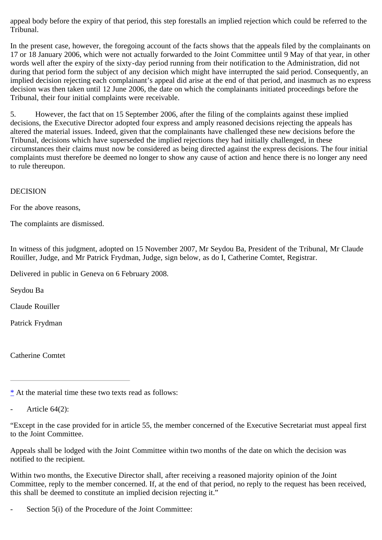appeal body before the expiry of that period, this step forestalls an implied rejection which could be referred to the Tribunal.

In the present case, however, the foregoing account of the facts shows that the appeals filed by the complainants on 17 or 18 January 2006, which were not actually forwarded to the Joint Committee until 9 May of that year, in other words well after the expiry of the sixty-day period running from their notification to the Administration, did not during that period form the subject of any decision which might have interrupted the said period. Consequently, an implied decision rejecting each complainant's appeal did arise at the end of that period, and inasmuch as no express decision was then taken until 12 June 2006, the date on which the complainants initiated proceedings before the Tribunal, their four initial complaints were receivable.

5. However, the fact that on 15 September 2006, after the filing of the complaints against these implied decisions, the Executive Director adopted four express and amply reasoned decisions rejecting the appeals has altered the material issues. Indeed, given that the complainants have challenged these new decisions before the Tribunal, decisions which have superseded the implied rejections they had initially challenged, in these circumstances their claims must now be considered as being directed against the express decisions. The four initial complaints must therefore be deemed no longer to show any cause of action and hence there is no longer any need to rule thereupon.

## DECISION

For the above reasons,

The complaints are dismissed.

In witness of this judgment, adopted on 15 November 2007, Mr Seydou Ba, President of the Tribunal, Mr Claude Rouiller, Judge, and Mr Patrick Frydman, Judge, sign below, as do I, Catherine Comtet, Registrar.

Delivered in public in Geneva on 6 February 2008.

Seydou Ba

Claude Rouiller

Patrick Frydman

Catherine Comtet

<span id="page-3-0"></span>[\\*](#page-0-0) At the material time these two texts read as follows:

Article  $64(2)$ :

"Except in the case provided for in article 55, the member concerned of the Executive Secretariat must appeal first to the Joint Committee.

Appeals shall be lodged with the Joint Committee within two months of the date on which the decision was notified to the recipient.

Within two months, the Executive Director shall, after receiving a reasoned majority opinion of the Joint Committee, reply to the member concerned. If, at the end of that period, no reply to the request has been received, this shall be deemed to constitute an implied decision rejecting it."

Section 5(i) of the Procedure of the Joint Committee: